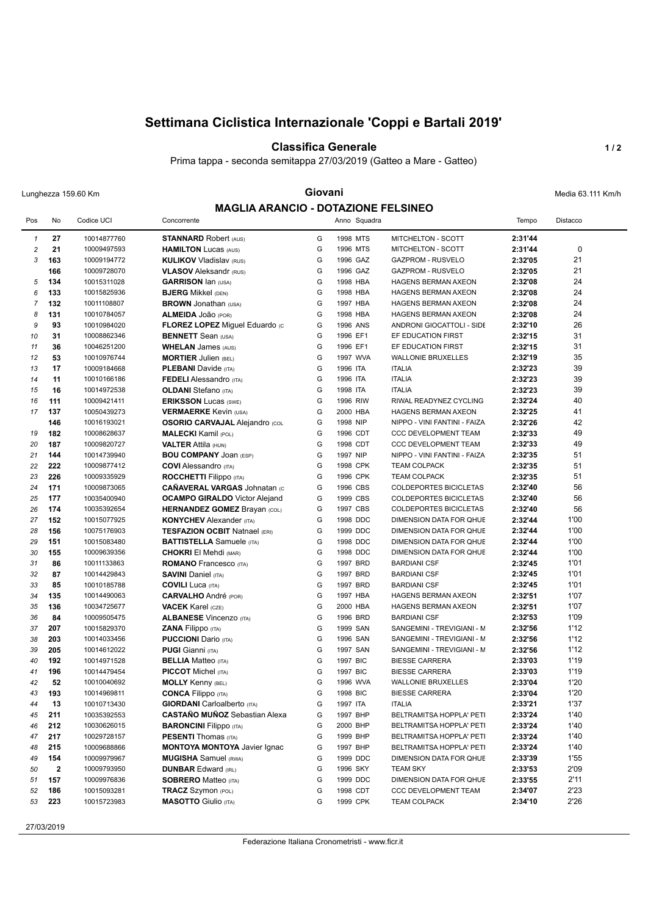# **Settimana Ciclistica Internazionale 'Coppi e Bartali 2019'**

**Classifica Generale 1/2** 

Prima tappa - seconda semitappa 27/03/2019 (Gatteo a Mare - Gatteo)

## Lunghezza 159.60 Km **Giovani Giovani Giovani Giovani** Media 63.111 Km/h **MAGLIA ARANCIO - DOTAZIONE FELSINEO**

| <b>MAGLIA ARANCIO - DOTAZIONE FELSINEO</b> |                  |             |                                       |   |          |              |                              |         |             |  |
|--------------------------------------------|------------------|-------------|---------------------------------------|---|----------|--------------|------------------------------|---------|-------------|--|
| Pos                                        | No               | Codice UCI  | Concorrente                           |   |          | Anno Squadra |                              | Tempo   | Distacco    |  |
| $\mathcal I$                               | 27               | 10014877760 | <b>STANNARD Robert (AUS)</b>          | G |          | 1998 MTS     | MITCHELTON - SCOTT           | 2:31'44 |             |  |
| $\sqrt{2}$                                 | 21               | 10009497593 | <b>HAMILTON Lucas (AUS)</b>           | G |          | 1996 MTS     | MITCHELTON - SCOTT           | 2:31'44 | $\mathbf 0$ |  |
| 3                                          | 163              | 10009194772 | <b>KULIKOV Vladislav (RUS)</b>        | G |          | 1996 GAZ     | <b>GAZPROM - RUSVELO</b>     | 2:32'05 | 21          |  |
|                                            | 166              | 10009728070 | <b>VLASOV Aleksandr (RUS)</b>         | G |          | 1996 GAZ     | GAZPROM - RUSVELO            | 2:32'05 | 21          |  |
| 5                                          | 134              | 10015311028 | <b>GARRISON Ian (USA)</b>             | G |          | 1998 HBA     | <b>HAGENS BERMAN AXEON</b>   | 2:32'08 | 24          |  |
| 6                                          | 133              | 10015825936 | <b>BJERG Mikkel (DEN)</b>             | G |          | 1998 HBA     | HAGENS BERMAN AXEON          | 2:32'08 | 24          |  |
| $\overline{7}$                             | 132              | 10011108807 | <b>BROWN</b> Jonathan (USA)           | G | 1997 HBA |              | HAGENS BERMAN AXEON          | 2:32'08 | 24          |  |
| 8                                          | 131              | 10010784057 | ALMEIDA JOão (POR)                    | G |          | 1998 HBA     | <b>HAGENS BERMAN AXEON</b>   | 2:32'08 | 24          |  |
| 9                                          | 93               | 10010984020 | FLOREZ LOPEZ Miguel Eduardo (c        | G | 1996 ANS |              | ANDRONI GIOCATTOLI - SIDE    | 2:32'10 | 26          |  |
| 10                                         | 31               | 10008862346 | <b>BENNETT</b> Sean (USA)             | G | 1996 EF1 |              | EF EDUCATION FIRST           | 2:32'15 | 31          |  |
| 11                                         | 36               | 10046251200 | <b>WHELAN James (AUS)</b>             | G | 1996 EF1 |              | EF EDUCATION FIRST           | 2:32'15 | 31          |  |
| 12                                         | 53               | 10010976744 | <b>MORTIER Julien (BEL)</b>           | G |          | 1997 WVA     | <b>WALLONIE BRUXELLES</b>    | 2:32'19 | 35          |  |
| 13                                         | 17               | 10009184668 | <b>PLEBANI</b> Davide (ITA)           | G | 1996 ITA |              | <b>ITALIA</b>                | 2:32'23 | 39          |  |
| 14                                         | 11               | 10010166186 | <b>FEDELI</b> Alessandro (ITA)        | G | 1996 ITA |              | <b>ITALIA</b>                | 2:32'23 | 39          |  |
| 15                                         | 16               | 10014972538 | <b>OLDANI</b> Stefano (ITA)           | G | 1998 ITA |              | <b>ITALIA</b>                | 2:32'23 | 39          |  |
| 16                                         | 111              | 10009421411 | <b>ERIKSSON Lucas (SWE)</b>           | G | 1996 RIW |              | RIWAL READYNEZ CYCLING       | 2:32'24 | 40          |  |
| 17                                         | 137              | 10050439273 | <b>VERMAERKE Kevin (USA)</b>          | G | 2000 HBA |              | <b>HAGENS BERMAN AXEON</b>   | 2:32'25 | 41          |  |
|                                            | 146              | 10016193021 | <b>OSORIO CARVAJAL Alejandro (COL</b> | G | 1998 NIP |              | NIPPO - VINI FANTINI - FAIZA | 2:32'26 | 42          |  |
| 19                                         | 182              | 10008628637 | <b>MALECKI</b> Kamil (POL)            | G | 1996 CDT |              | CCC DEVELOPMENT TEAM         | 2:32'33 | 49          |  |
| 20                                         | 187              | 10009820727 | <b>VALTER Attila (HUN)</b>            | G | 1998 CDT |              | CCC DEVELOPMENT TEAM         | 2:32'33 | 49          |  |
| 21                                         | 144              | 10014739940 | <b>BOU COMPANY JOAN (ESP)</b>         | G | 1997 NIP |              | NIPPO - VINI FANTINI - FAIZA | 2:32'35 | 51          |  |
| 22                                         | 222              | 10009877412 | <b>COVI</b> Alessandro (ITA)          | G |          | 1998 CPK     | <b>TEAM COLPACK</b>          | 2:32'35 | 51          |  |
| 23                                         | 226              | 10009335929 | <b>ROCCHETTI Filippo</b> (ITA)        | G |          | 1996 CPK     | <b>TEAM COLPACK</b>          | 2:32'35 | 51          |  |
| 24                                         | 171              | 10009873065 | <b>CAÑAVERAL VARGAS Johnatan (c)</b>  | G |          | 1996 CBS     | COLDEPORTES BICICLETAS       | 2:32'40 | 56          |  |
| 25                                         | 177              | 10035400940 | <b>OCAMPO GIRALDO</b> Victor Alejand  | G | 1999 CBS |              | COLDEPORTES BICICLETAS       | 2:32'40 | 56          |  |
| 26                                         | 174              | 10035392654 | <b>HERNANDEZ GOMEZ Brayan (COL)</b>   | G | 1997 CBS |              | COLDEPORTES BICICLETAS       | 2:32'40 | 56          |  |
| 27                                         | 152              | 10015077925 | <b>KONYCHEV</b> Alexander (ITA)       | G |          | 1998 DDC     | DIMENSION DATA FOR QHUE      | 2:32'44 | 1'00        |  |
| 28                                         | 156              | 10075176903 | <b>TESFAZION OCBIT Natnael (ERI)</b>  | G |          | 1999 DDC     | DIMENSION DATA FOR QHUE      | 2:32'44 | 1'00        |  |
| 29                                         | 151              | 10015083480 | <b>BATTISTELLA</b> Samuele (ITA)      | G |          | 1998 DDC     | DIMENSION DATA FOR QHUE      | 2:32'44 | 1'00        |  |
| 30                                         | 155              | 10009639356 | <b>CHOKRI El Mehdi (MAR)</b>          | G |          | 1998 DDC     | DIMENSION DATA FOR QHUE      | 2:32'44 | 1'00        |  |
| 31                                         | 86               | 10011133863 | <b>ROMANO</b> Francesco (ITA)         | G |          | 1997 BRD     | <b>BARDIANI CSF</b>          | 2:32'45 | 1'01        |  |
| 32                                         | 87               | 10014429843 | <b>SAVINI Daniel (ITA)</b>            | G | 1997 BRD |              | <b>BARDIANI CSF</b>          | 2:32'45 | 1'01        |  |
| 33                                         | 85               | 10010185788 | <b>COVILI</b> Luca (ITA)              | G | 1997 BRD |              | <b>BARDIANI CSF</b>          | 2:32'45 | 1'01        |  |
| 34                                         | 135              | 10014490063 | <b>CARVALHO</b> André (POR)           | G |          | 1997 HBA     | HAGENS BERMAN AXEON          | 2:32'51 | 1'07        |  |
| 35                                         | 136              | 10034725677 | <b>VACEK Karel (CZE)</b>              | G | 2000 HBA |              | <b>HAGENS BERMAN AXEON</b>   | 2:32'51 | 1'07        |  |
| 36                                         | 84               | 10009505475 | <b>ALBANESE Vincenzo (ITA)</b>        | G | 1996 BRD |              | <b>BARDIANI CSF</b>          | 2:32'53 | 1'09        |  |
| 37                                         | 207              | 10015829370 | <b>ZANA Filippo</b> (ITA)             | G |          | 1999 SAN     | SANGEMINI - TREVIGIANI - M   | 2:32'56 | 1'12        |  |
| 38                                         | 203              | 10014033456 | <b>PUCCIONI</b> Dario (ITA)           | G | 1996 SAN |              | SANGEMINI - TREVIGIANI - M   | 2:32'56 | 1'12        |  |
| 39                                         | 205              | 10014612022 | <b>PUGI</b> Gianni (ITA)              | G | 1997 SAN |              | SANGEMINI - TREVIGIANI - M   | 2:32'56 | 1'12        |  |
| 40                                         | 192              | 10014971528 | <b>BELLIA</b> Matteo (ITA)            | G | 1997 BIC |              | <b>BIESSE CARRERA</b>        | 2:33'03 | 1'19        |  |
| 41                                         | 196              | 10014479454 | <b>PICCOT</b> Michel (ITA)            | G | 1997 BIC |              | <b>BIESSE CARRERA</b>        | 2:33'03 | 1'19        |  |
| 42                                         | 52               | 10010040692 | <b>MOLLY Kenny (BEL)</b>              | G |          | 1996 WVA     | <b>WALLONIE BRUXELLES</b>    | 2:33'04 | 1'20        |  |
| 43                                         | 193              | 10014969811 | <b>CONCA Filippo (ITA)</b>            | G | 1998 BIC |              | <b>BIESSE CARRERA</b>        | 2:33'04 | 1'20        |  |
| 44                                         | 13               | 10010713430 | <b>GIORDANI</b> Carloalberto (ITA)    | G | 1997 ITA |              | <b>ITALIA</b>                | 2:33'21 | 1'37        |  |
| 45                                         | 211              | 10035392553 | <b>CASTAÑO MUÑOZ</b> Sebastian Alexa  | G | 1997 BHP |              | BELTRAMITSA HOPPLA' PETI     | 2:33'24 | 1'40        |  |
| 46                                         | 212              | 10030626015 | <b>BARONCINI Filippo</b> (ITA)        | G | 2000 BHP |              | BELTRAMITSA HOPPLA' PETI     | 2:33'24 | 1'40        |  |
| 47                                         | 217              | 10029728157 | <b>PESENTI</b> Thomas (ITA)           | G | 1999 BHP |              | BELTRAMITSA HOPPLA' PETI     | 2:33'24 | 1'40        |  |
| 48                                         | 215              | 10009688866 | <b>MONTOYA MONTOYA Javier Ignac</b>   | G | 1997 BHP |              | BELTRAMITSA HOPPLA' PETI     | 2:33'24 | 1'40        |  |
| 49                                         | 154              | 10009979967 | <b>MUGISHA</b> Samuel (RWA)           | G |          | 1999 DDC     | DIMENSION DATA FOR QHUE      | 2:33'39 | 1'55        |  |
| 50                                         | $\boldsymbol{2}$ | 10009793950 | <b>DUNBAR Edward (IRL)</b>            | G | 1996 SKY |              | <b>TEAM SKY</b>              | 2:33'53 | 2'09        |  |
| 51                                         | 157              | 10009976836 | <b>SOBRERO</b> Matteo (ITA)           | G |          | 1999 DDC     | DIMENSION DATA FOR QHUE      | 2:33'55 | 2'11        |  |
| 52                                         | 186              | 10015093281 | <b>TRACZ</b> Szymon (POL)             | G |          | 1998 CDT     | CCC DEVELOPMENT TEAM         | 2:34'07 | 2'23        |  |
| 53                                         | 223              | 10015723983 | <b>MASOTTO</b> Giulio (ITA)           | G |          | 1999 CPK     | <b>TEAM COLPACK</b>          | 2:34'10 | 2'26        |  |
|                                            |                  |             |                                       |   |          |              |                              |         |             |  |

27/03/2019